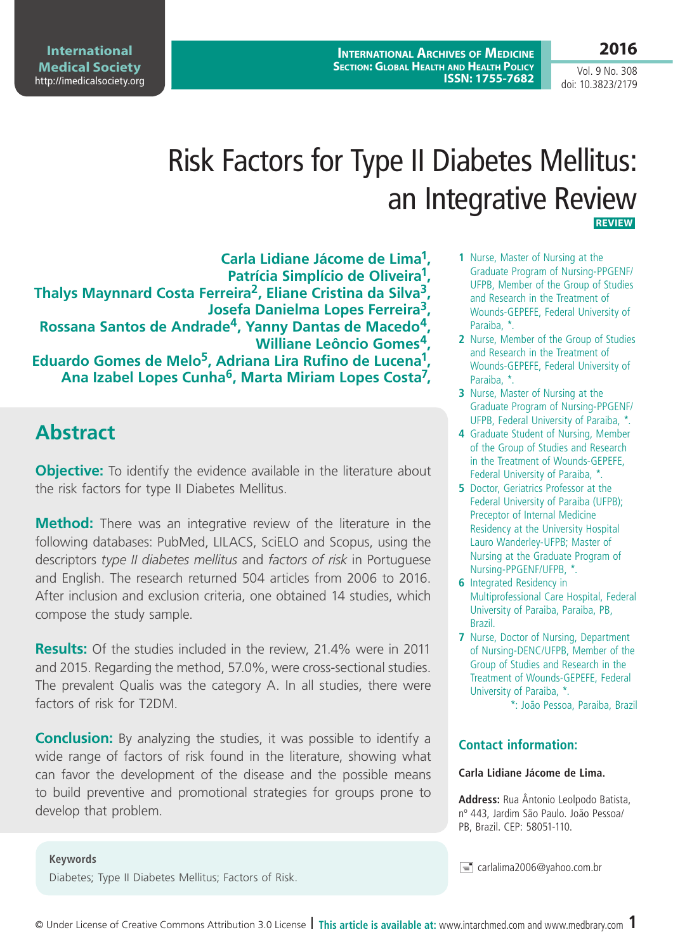**International Archives of Medicine Section: Global Health and Health Policy ISSN: 1755-7682**

**International Medical Society**  http://imedicalsociety.org

Vol. 9 No. 308 doi: 10.3823/2179

**2016**

# Risk Factors for Type II Diabetes Mellitus: an Integrative Review **REVIEW**

**Carla Lidiane Jácome de Lima1, Patrícia Simplício de Oliveira1, Thalys Maynnard Costa Ferreira2, Eliane Cristina da Silva3, Josefa Danielma Lopes Ferreira3, Rossana Santos de Andrade4, Yanny Dantas de Macedo4, Williane Leôncio Gomes4, Eduardo Gomes de Melo5, Adriana Lira Rufino de Lucena1, Ana Izabel Lopes Cunha6, Marta Miriam Lopes Costa7,**

# **Abstract**

**Objective:** To identify the evidence available in the literature about the risk factors for type II Diabetes Mellitus.

**Method:** There was an integrative review of the literature in the following databases: PubMed, LILACS, SciELO and Scopus, using the descriptors *type II diabetes mellitus* and *factors of risk* in Portuguese and English. The research returned 504 articles from 2006 to 2016. After inclusion and exclusion criteria, one obtained 14 studies, which compose the study sample.

**Results:** Of the studies included in the review, 21.4% were in 2011 and 2015. Regarding the method, 57.0%, were cross-sectional studies. The prevalent Qualis was the category A. In all studies, there were factors of risk for T2DM.

**Conclusion:** By analyzing the studies, it was possible to identify a wide range of factors of risk found in the literature, showing what can favor the development of the disease and the possible means to build preventive and promotional strategies for groups prone to develop that problem.

- **1** Nurse, Master of Nursing at the Graduate Program of Nursing-PPGENF/ UFPB, Member of the Group of Studies and Research in the Treatment of Wounds-GEPEFE, Federal University of Paraiba, \*.
- **2** Nurse, Member of the Group of Studies and Research in the Treatment of Wounds-GEPEFE, Federal University of Paraiba, \*.
- **3** Nurse, Master of Nursing at the Graduate Program of Nursing-PPGENF/ UFPB, Federal University of Paraiba, \*.
- **4** Graduate Student of Nursing, Member of the Group of Studies and Research in the Treatment of Wounds-GEPEFE, Federal University of Paraiba, \*.
- **5** Doctor, Geriatrics Professor at the Federal University of Paraiba (UFPB); Preceptor of Internal Medicine Residency at the University Hospital Lauro Wanderley-UFPB; Master of Nursing at the Graduate Program of Nursing-PPGENF/UFPB, \*.
- **6** Integrated Residency in Multiprofessional Care Hospital, Federal University of Paraiba, Paraiba, PB, Brazil.
- **7** Nurse, Doctor of Nursing, Department of Nursing-DENC/UFPB, Member of the Group of Studies and Research in the Treatment of Wounds-GEPEFE, Federal University of Paraiba, \*.

\*: João Pessoa, Paraiba, Brazil

### **Contact information:**

#### **Carla Lidiane Jácome de Lima.**

**Address:** Rua Ântonio Leolpodo Batista, nº 443, Jardim São Paulo. João Pessoa/ PB, Brazil. CEP: 58051-110.

carlalima2006@yahoo.com.br **Keywords**

Diabetes; Type II Diabetes Mellitus; Factors of Risk.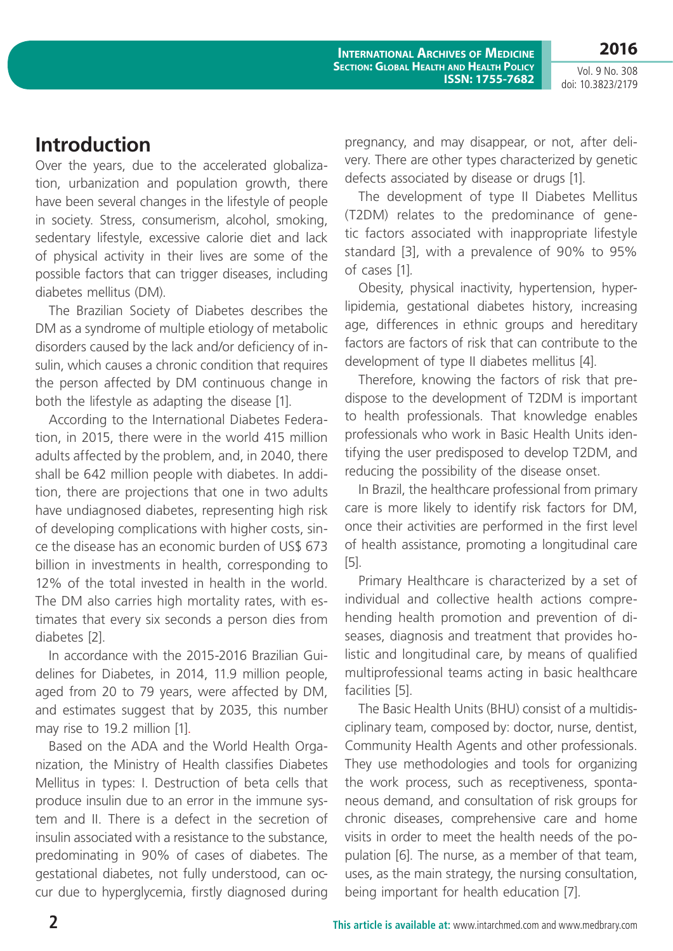**International Archives of Medicine Section: Global Health and Health Policy ISSN: 1755-7682**

Vol. 9 No. 308 doi: 10.3823/2179

# **Introduction**

Over the years, due to the accelerated globalization, urbanization and population growth, there have been several changes in the lifestyle of people in society. Stress, consumerism, alcohol, smoking, sedentary lifestyle, excessive calorie diet and lack of physical activity in their lives are some of the possible factors that can trigger diseases, including diabetes mellitus (DM).

The Brazilian Society of Diabetes describes the DM as a syndrome of multiple etiology of metabolic disorders caused by the lack and/or deficiency of insulin, which causes a chronic condition that requires the person affected by DM continuous change in both the lifestyle as adapting the disease [1].

According to the International Diabetes Federation, in 2015, there were in the world 415 million adults affected by the problem, and, in 2040, there shall be 642 million people with diabetes. In addition, there are projections that one in two adults have undiagnosed diabetes, representing high risk of developing complications with higher costs, since the disease has an economic burden of US\$ 673 billion in investments in health, corresponding to 12% of the total invested in health in the world. The DM also carries high mortality rates, with estimates that every six seconds a person dies from diabetes [2].

In accordance with the 2015-2016 Brazilian Guidelines for Diabetes, in 2014, 11.9 million people, aged from 20 to 79 years, were affected by DM, and estimates suggest that by 2035, this number may rise to 19.2 million [1].

Based on the ADA and the World Health Organization, the Ministry of Health classifies Diabetes Mellitus in types: I. Destruction of beta cells that produce insulin due to an error in the immune system and II. There is a defect in the secretion of insulin associated with a resistance to the substance, predominating in 90% of cases of diabetes. The gestational diabetes, not fully understood, can occur due to hyperglycemia, firstly diagnosed during pregnancy, and may disappear, or not, after delivery. There are other types characterized by genetic defects associated by disease or drugs [1].

The development of type II Diabetes Mellitus (T2DM) relates to the predominance of genetic factors associated with inappropriate lifestyle standard [3], with a prevalence of 90% to 95% of cases [1]*.*

Obesity, physical inactivity, hypertension, hyperlipidemia, gestational diabetes history, increasing age, differences in ethnic groups and hereditary factors are factors of risk that can contribute to the development of type II diabetes mellitus [4].

Therefore, knowing the factors of risk that predispose to the development of T2DM is important to health professionals. That knowledge enables professionals who work in Basic Health Units identifying the user predisposed to develop T2DM, and reducing the possibility of the disease onset.

In Brazil, the healthcare professional from primary care is more likely to identify risk factors for DM, once their activities are performed in the first level of health assistance, promoting a longitudinal care [5].

Primary Healthcare is characterized by a set of individual and collective health actions comprehending health promotion and prevention of diseases, diagnosis and treatment that provides holistic and longitudinal care, by means of qualified multiprofessional teams acting in basic healthcare facilities [5].

The Basic Health Units (BHU) consist of a multidisciplinary team, composed by: doctor, nurse, dentist, Community Health Agents and other professionals. They use methodologies and tools for organizing the work process, such as receptiveness, spontaneous demand, and consultation of risk groups for chronic diseases, comprehensive care and home visits in order to meet the health needs of the population [6]. The nurse, as a member of that team, uses, as the main strategy, the nursing consultation, being important for health education [7].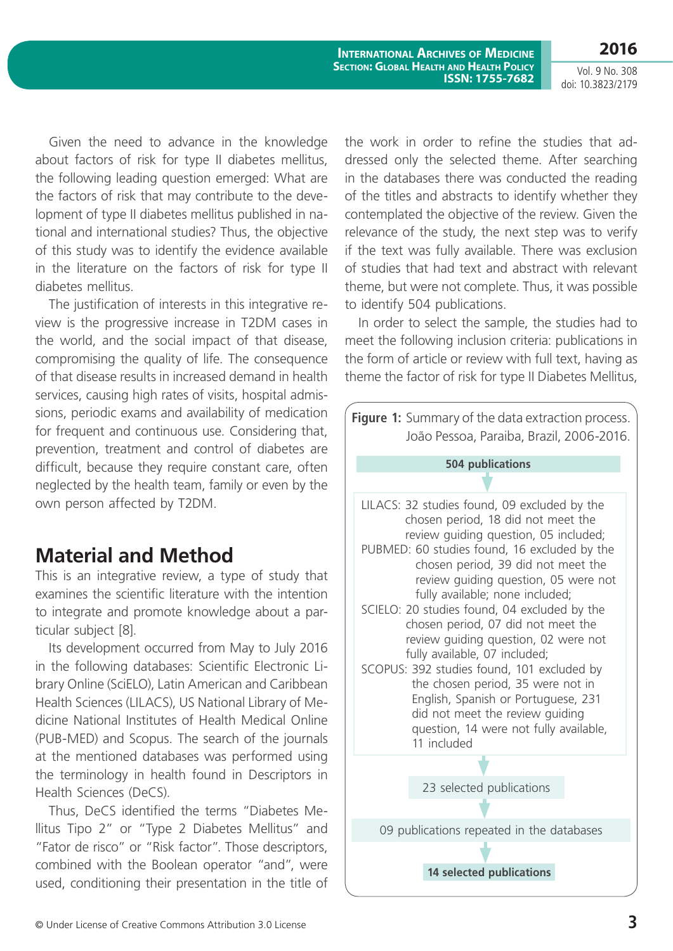Vol. 9 No. 308 doi: 10.3823/2179

**2016**

**International Archives of Medicine Section: Global Health and Health Policy ISSN: 1755-7682**

Given the need to advance in the knowledge about factors of risk for type II diabetes mellitus, the following leading question emerged: What are the factors of risk that may contribute to the development of type II diabetes mellitus published in national and international studies? Thus, the objective of this study was to identify the evidence available in the literature on the factors of risk for type II diabetes mellitus.

The justification of interests in this integrative review is the progressive increase in T2DM cases in the world, and the social impact of that disease, compromising the quality of life. The consequence of that disease results in increased demand in health services, causing high rates of visits, hospital admissions, periodic exams and availability of medication for frequent and continuous use. Considering that, prevention, treatment and control of diabetes are difficult, because they require constant care, often neglected by the health team, family or even by the own person affected by T2DM.

# **Material and Method**

This is an integrative review, a type of study that examines the scientific literature with the intention to integrate and promote knowledge about a particular subject [8].

Its development occurred from May to July 2016 in the following databases: Scientific Electronic Library Online (SciELO), Latin American and Caribbean Health Sciences (LILACS), US National Library of Medicine National Institutes of Health Medical Online (PUB-MED) and Scopus. The search of the journals at the mentioned databases was performed using the terminology in health found in Descriptors in Health Sciences (DeCS).

Thus, DeCS identified the terms "Diabetes Mellitus Tipo 2" or "Type 2 Diabetes Mellitus" and "Fator de risco" or "Risk factor". Those descriptors, combined with the Boolean operator "and", were used, conditioning their presentation in the title of

the work in order to refine the studies that addressed only the selected theme. After searching in the databases there was conducted the reading of the titles and abstracts to identify whether they contemplated the objective of the review. Given the relevance of the study, the next step was to verify if the text was fully available. There was exclusion of studies that had text and abstract with relevant theme, but were not complete. Thus, it was possible to identify 504 publications.

In order to select the sample, the studies had to meet the following inclusion criteria: publications in the form of article or review with full text, having as theme the factor of risk for type II Diabetes Mellitus,

**Figure 1:** Summary of the data extraction process. João Pessoa, Paraiba, Brazil, 2006-2016. **14 selected publications** 23 selected publications 09 publications repeated in the databases LILACS: 32 studies found, 09 excluded by the chosen period, 18 did not meet the review guiding question, 05 included; PUBMED: 60 studies found, 16 excluded by the chosen period, 39 did not meet the review guiding question, 05 were not fully available; none included; SCIELO: 20 studies found, 04 excluded by the chosen period, 07 did not meet the review guiding question, 02 were not fully available, 07 included; SCOPUS: 392 studies found, 101 excluded by the chosen period, 35 were not in English, Spanish or Portuguese, 231 did not meet the review guiding question, 14 were not fully available, 11 included **504 publications**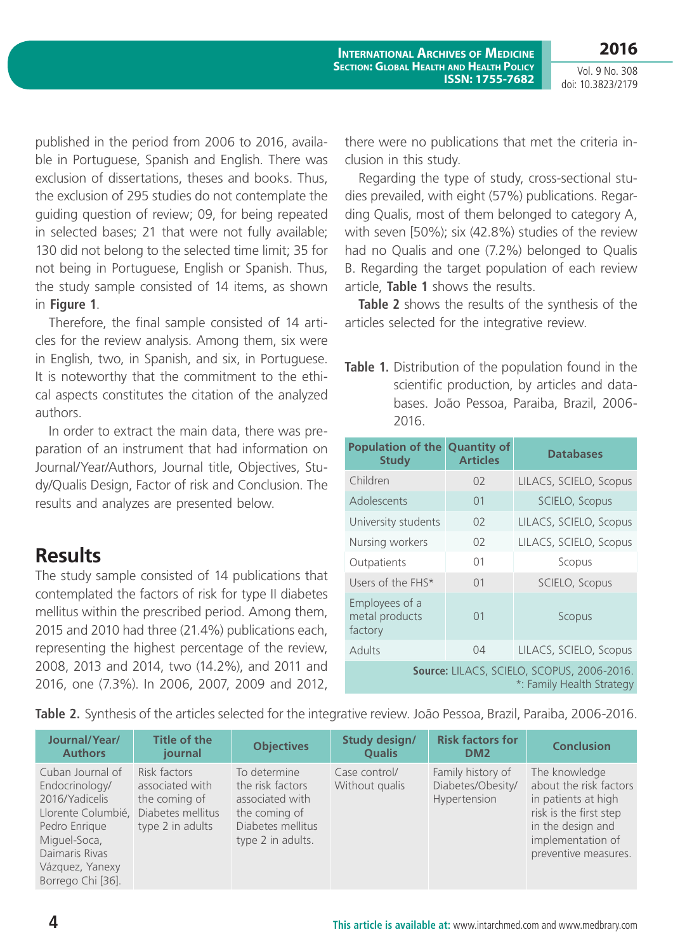Vol. 9 No. 308 doi: 10.3823/2179

published in the period from 2006 to 2016, available in Portuguese, Spanish and English. There was exclusion of dissertations, theses and books. Thus, the exclusion of 295 studies do not contemplate the guiding question of review; 09, for being repeated in selected bases; 21 that were not fully available; 130 did not belong to the selected time limit; 35 for not being in Portuguese, English or Spanish. Thus, the study sample consisted of 14 items, as shown in **Figure 1**.

Therefore, the final sample consisted of 14 articles for the review analysis. Among them, six were in English, two, in Spanish, and six, in Portuguese. It is noteworthy that the commitment to the ethical aspects constitutes the citation of the analyzed authors.

In order to extract the main data, there was preparation of an instrument that had information on Journal/Year/Authors, Journal title, Objectives, Study/Qualis Design, Factor of risk and Conclusion. The results and analyzes are presented below.

# **Results**

The study sample consisted of 14 publications that contemplated the factors of risk for type II diabetes mellitus within the prescribed period. Among them, 2015 and 2010 had three (21.4%) publications each, representing the highest percentage of the review, 2008, 2013 and 2014, two (14.2%), and 2011 and 2016, one (7.3%). In 2006, 2007, 2009 and 2012,

there were no publications that met the criteria inclusion in this study.

Regarding the type of study, cross-sectional studies prevailed, with eight (57%) publications. Regarding Qualis, most of them belonged to category A, with seven [50%); six (42.8%) studies of the review had no Qualis and one (7.2%) belonged to Qualis B. Regarding the target population of each review article, **Table 1** shows the results.

**Table 2** shows the results of the synthesis of the articles selected for the integrative review.

**Table 1.** Distribution of the population found in the scientific production, by articles and databases. João Pessoa, Paraiba, Brazil, 2006- 2016.

| <b>Population of the</b><br><b>Study</b>                                | <b>Quantity of</b><br><b>Articles</b> | <b>Databases</b>       |  |  |
|-------------------------------------------------------------------------|---------------------------------------|------------------------|--|--|
| Children                                                                | 02                                    | LILACS, SCIELO, Scopus |  |  |
| Adolescents                                                             | 01                                    | SCIELO, Scopus         |  |  |
| University students                                                     | 0 <sup>2</sup>                        | LILACS, SCIELO, Scopus |  |  |
| Nursing workers                                                         | 02                                    | LILACS, SCIELO, Scopus |  |  |
| Outpatients                                                             | 01                                    | Scopus                 |  |  |
| Users of the FHS*                                                       | 01                                    | SCIELO, Scopus         |  |  |
| Employees of a<br>metal products<br>factory                             | 01                                    | Scopus                 |  |  |
| Adults                                                                  | 04                                    | LILACS, SCIELO, Scopus |  |  |
| Source: LILACS, SCIELO, SCOPUS, 2006-2016.<br>*: Family Health Strategy |                                       |                        |  |  |

**Table 2.** Synthesis of the articles selected for the integrative review. João Pessoa, Brazil, Paraiba, 2006-2016.

| Journal/Year/<br><b>Authors</b>                                                                                                                                       | <b>Title of the</b><br>journal                                                            | <b>Objectives</b>                                                                                              | <b>Study design/</b><br><b>Qualis</b> | <b>Risk factors for</b><br>DM <sub>2</sub>             | <b>Conclusion</b>                                                                                                                                          |
|-----------------------------------------------------------------------------------------------------------------------------------------------------------------------|-------------------------------------------------------------------------------------------|----------------------------------------------------------------------------------------------------------------|---------------------------------------|--------------------------------------------------------|------------------------------------------------------------------------------------------------------------------------------------------------------------|
| Cuban Journal of<br>Endocrinology/<br>2016/Yadicelis<br>Llorente Columbié,<br>Pedro Enrique<br>Miguel-Soca,<br>Daimaris Rivas<br>Vázquez, Yanexy<br>Borrego Chi [36]. | Risk factors<br>associated with<br>the coming of<br>Diabetes mellitus<br>type 2 in adults | To determine<br>the risk factors<br>associated with<br>the coming of<br>Diabetes mellitus<br>type 2 in adults. | Case control/<br>Without qualis       | Family history of<br>Diabetes/Obesity/<br>Hypertension | The knowledge<br>about the risk factors<br>in patients at high<br>risk is the first step<br>in the design and<br>implementation of<br>preventive measures. |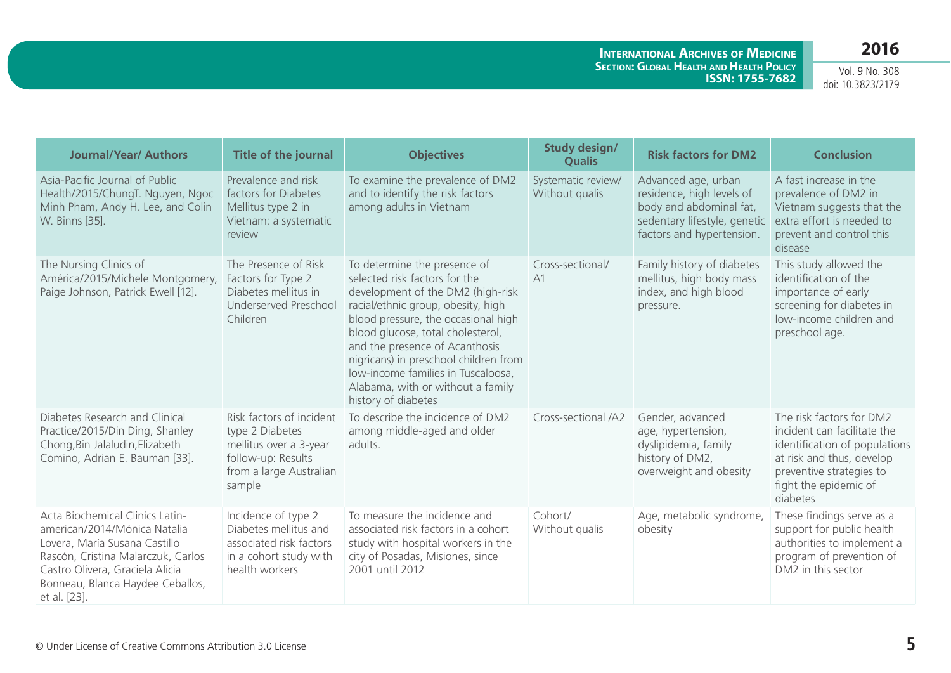**International Archives of Medicine Section: Global Health and Health Policy ISSN: 1755-7682**

Vol. 9 No. 308 doi: 10.3823/2179

| <b>Journal/Year/ Authors</b>                                                                                                                                                                                                 | <b>Title of the journal</b>                                                                                                      | <b>Objectives</b>                                                                                                                                                                                                                                                                                                                                                                                 | <b>Study design/</b><br><b>Qualis</b> | <b>Risk factors for DM2</b>                                                                                                              | <b>Conclusion</b>                                                                                                                                                                      |
|------------------------------------------------------------------------------------------------------------------------------------------------------------------------------------------------------------------------------|----------------------------------------------------------------------------------------------------------------------------------|---------------------------------------------------------------------------------------------------------------------------------------------------------------------------------------------------------------------------------------------------------------------------------------------------------------------------------------------------------------------------------------------------|---------------------------------------|------------------------------------------------------------------------------------------------------------------------------------------|----------------------------------------------------------------------------------------------------------------------------------------------------------------------------------------|
| Asia-Pacific Journal of Public<br>Health/2015/ChungT. Nguyen, Ngoc<br>Minh Pham, Andy H. Lee, and Colin<br>W. Binns [35].                                                                                                    | Prevalence and risk<br>factors for Diabetes<br>Mellitus type 2 in<br>Vietnam: a systematic<br>review                             | To examine the prevalence of DM2<br>and to identify the risk factors<br>among adults in Vietnam                                                                                                                                                                                                                                                                                                   | Systematic review/<br>Without qualis  | Advanced age, urban<br>residence, high levels of<br>body and abdominal fat,<br>sedentary lifestyle, genetic<br>factors and hypertension. | A fast increase in the<br>prevalence of DM2 in<br>Vietnam suggests that the<br>extra effort is needed to<br>prevent and control this<br>disease                                        |
| The Nursing Clinics of<br>América/2015/Michele Montgomery,<br>Paige Johnson, Patrick Ewell [12].                                                                                                                             | The Presence of Risk<br>Factors for Type 2<br>Diabetes mellitus in<br>Underserved Preschool<br>Children                          | To determine the presence of<br>selected risk factors for the<br>development of the DM2 (high-risk<br>racial/ethnic group, obesity, high<br>blood pressure, the occasional high<br>blood glucose, total cholesterol,<br>and the presence of Acanthosis<br>nigricans) in preschool children from<br>low-income families in Tuscaloosa,<br>Alabama, with or without a family<br>history of diabetes | Cross-sectional/<br>A1                | Family history of diabetes<br>mellitus, high body mass<br>index, and high blood<br>pressure.                                             | This study allowed the<br>identification of the<br>importance of early<br>screening for diabetes in<br>low-income children and<br>preschool age.                                       |
| Diabetes Research and Clinical<br>Practice/2015/Din Ding, Shanley<br>Chong, Bin Jalaludin, Elizabeth<br>Comino, Adrian E. Bauman [33].                                                                                       | Risk factors of incident<br>type 2 Diabetes<br>mellitus over a 3-year<br>follow-up: Results<br>from a large Australian<br>sample | To describe the incidence of DM2<br>among middle-aged and older<br>adults.                                                                                                                                                                                                                                                                                                                        | Cross-sectional /A2                   | Gender, advanced<br>age, hypertension,<br>dyslipidemia, family<br>history of DM2,<br>overweight and obesity                              | The risk factors for DM2<br>incident can facilitate the<br>identification of populations<br>at risk and thus, develop<br>preventive strategies to<br>fight the epidemic of<br>diabetes |
| Acta Biochemical Clinics Latin-<br>american/2014/Mónica Natalia<br>Lovera, María Susana Castillo<br>Rascón, Cristina Malarczuk, Carlos<br>Castro Olivera, Graciela Alicia<br>Bonneau, Blanca Haydee Ceballos,<br>et al. [23] | Incidence of type 2<br>Diabetes mellitus and<br>associated risk factors<br>in a cohort study with<br>health workers              | To measure the incidence and<br>associated risk factors in a cohort<br>study with hospital workers in the<br>city of Posadas, Misiones, since<br>2001 until 2012                                                                                                                                                                                                                                  | Cohort/<br>Without qualis             | Age, metabolic syndrome,<br>obesity                                                                                                      | These findings serve as a<br>support for public health<br>authorities to implement a<br>program of prevention of<br>DM2 in this sector                                                 |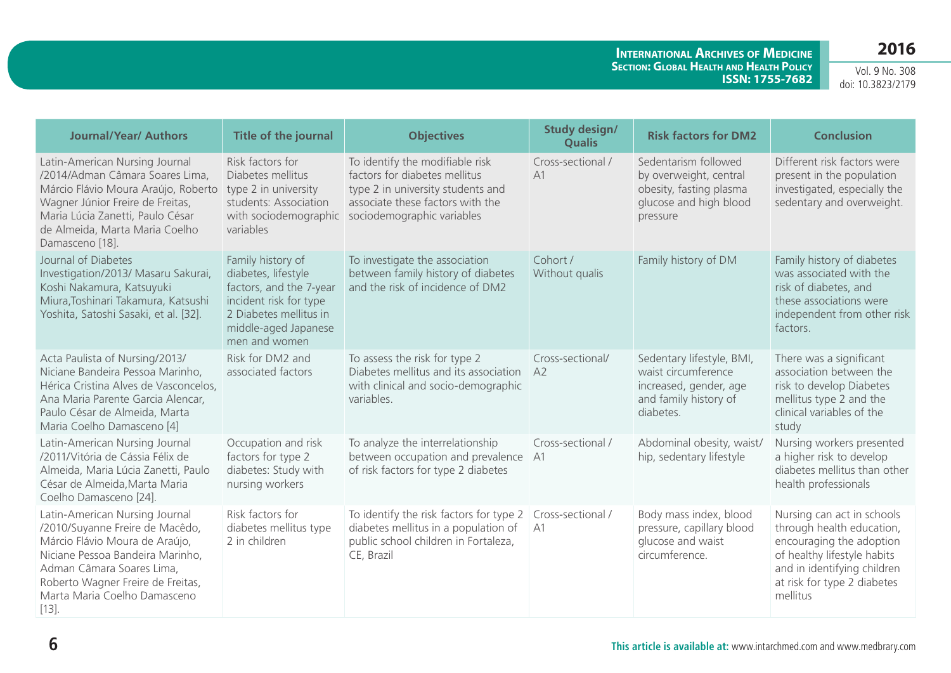**International Archives of Medicine Section: Global Health and Health Policy ISSN: 1755-7682**

Vol. 9 No. 308 doi: 10.3823/2179

| <b>Journal/Year/ Authors</b>                                                                                                                                                                                                                        | Title of the journal                                                                                                                                             | <b>Objectives</b>                                                                                                                                                                             | <b>Study design/</b><br><b>Qualis</b> | <b>Risk factors for DM2</b>                                                                                      | <b>Conclusion</b>                                                                                                                                                                            |
|-----------------------------------------------------------------------------------------------------------------------------------------------------------------------------------------------------------------------------------------------------|------------------------------------------------------------------------------------------------------------------------------------------------------------------|-----------------------------------------------------------------------------------------------------------------------------------------------------------------------------------------------|---------------------------------------|------------------------------------------------------------------------------------------------------------------|----------------------------------------------------------------------------------------------------------------------------------------------------------------------------------------------|
| Latin-American Nursing Journal<br>/2014/Adman Câmara Soares Lima,<br>Márcio Flávio Moura Araújo, Roberto<br>Wagner Júnior Freire de Freitas,<br>Maria Lúcia Zanetti, Paulo César<br>de Almeida, Marta Maria Coelho<br>Damasceno [18].               | Risk factors for<br>Diabetes mellitus<br>type 2 in university<br>students: Association<br>variables                                                              | To identify the modifiable risk<br>factors for diabetes mellitus<br>type 2 in university students and<br>associate these factors with the<br>with sociodemographic sociodemographic variables | Cross-sectional /<br>A1               | Sedentarism followed<br>by overweight, central<br>obesity, fasting plasma<br>glucose and high blood<br>pressure  | Different risk factors were<br>present in the population<br>investigated, especially the<br>sedentary and overweight.                                                                        |
| Journal of Diabetes<br>Investigation/2013/ Masaru Sakurai,<br>Koshi Nakamura, Katsuyuki<br>Miura, Toshinari Takamura, Katsushi<br>Yoshita, Satoshi Sasaki, et al. [32].                                                                             | Family history of<br>diabetes, lifestyle<br>factors, and the 7-year<br>incident risk for type<br>2 Diabetes mellitus in<br>middle-aged Japanese<br>men and women | To investigate the association<br>between family history of diabetes<br>and the risk of incidence of DM2                                                                                      | Cohort /<br>Without qualis            | Family history of DM                                                                                             | Family history of diabetes<br>was associated with the<br>risk of diabetes, and<br>these associations were<br>independent from other risk<br>factors.                                         |
| Acta Paulista of Nursing/2013/<br>Niciane Bandeira Pessoa Marinho,<br>Hérica Cristina Alves de Vasconcelos,<br>Ana Maria Parente Garcia Alencar,<br>Paulo César de Almeida, Marta<br>Maria Coelho Damasceno [4]                                     | Risk for DM2 and<br>associated factors                                                                                                                           | To assess the risk for type 2<br>Diabetes mellitus and its association<br>with clinical and socio-demographic<br>variables.                                                                   | Cross-sectional/<br>A2                | Sedentary lifestyle, BMI,<br>waist circumference<br>increased, gender, age<br>and family history of<br>diabetes. | There was a significant<br>association between the<br>risk to develop Diabetes<br>mellitus type 2 and the<br>clinical variables of the<br>study                                              |
| Latin-American Nursing Journal<br>/2011/Vitória de Cássia Félix de<br>Almeida, Maria Lúcia Zanetti, Paulo<br>César de Almeida, Marta Maria<br>Coelho Damasceno [24].                                                                                | Occupation and risk<br>factors for type 2<br>diabetes: Study with<br>nursing workers                                                                             | To analyze the interrelationship<br>between occupation and prevalence<br>of risk factors for type 2 diabetes                                                                                  | Cross-sectional /<br>A1               | Abdominal obesity, waist/<br>hip, sedentary lifestyle                                                            | Nursing workers presented<br>a higher risk to develop<br>diabetes mellitus than other<br>health professionals                                                                                |
| Latin-American Nursing Journal<br>/2010/Suyanne Freire de Macêdo,<br>Márcio Flávio Moura de Araújo,<br>Niciane Pessoa Bandeira Marinho,<br>Adman Câmara Soares Lima,<br>Roberto Wagner Freire de Freitas,<br>Marta Maria Coelho Damasceno<br>$[13]$ | Risk factors for<br>diabetes mellitus type<br>2 in children                                                                                                      | To identify the risk factors for type 2<br>diabetes mellitus in a population of<br>public school children in Fortaleza,<br>CE, Brazil                                                         | Cross-sectional /<br>A1               | Body mass index, blood<br>pressure, capillary blood<br>glucose and waist<br>circumference.                       | Nursing can act in schools<br>through health education,<br>encouraging the adoption<br>of healthy lifestyle habits<br>and in identifying children<br>at risk for type 2 diabetes<br>mellitus |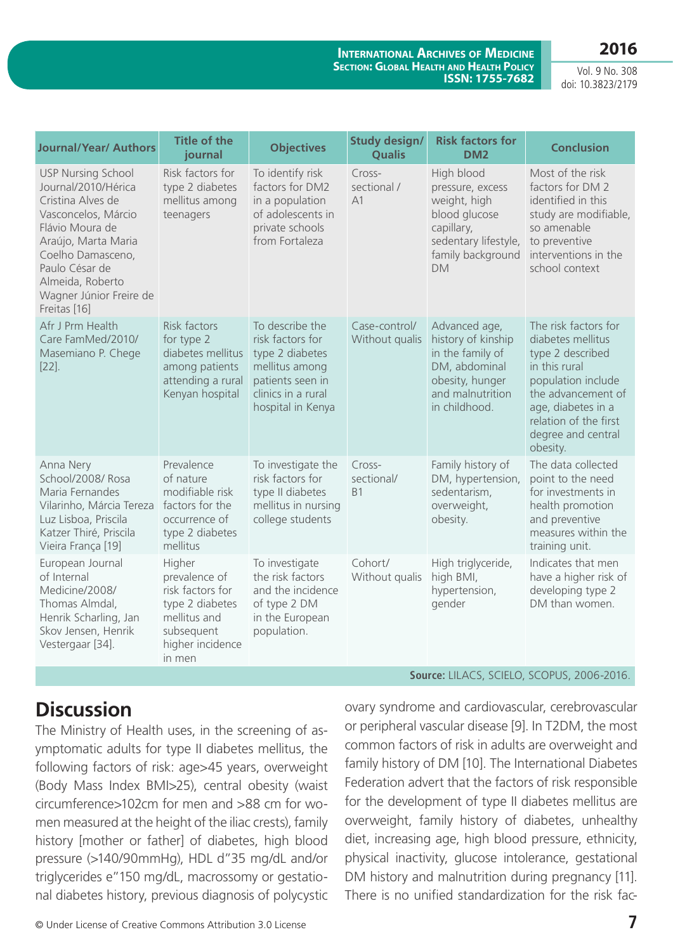**International Archives of Medicine Section: Global Health and Health Policy ISSN: 1755-7682**

Vol. 9 No. 308 doi: 10.3823/2179

| <b>Journal/Year/ Authors</b>                                                                                                                                                                                                                 | <b>Title of the</b><br>journal                                                                                             | <b>Objectives</b>                                                                                                                       | <b>Study design/</b><br><b>Qualis</b> | <b>Risk factors for</b><br>DM <sub>2</sub>                                                                                              | <b>Conclusion</b>                                                                                                                                                                                           |
|----------------------------------------------------------------------------------------------------------------------------------------------------------------------------------------------------------------------------------------------|----------------------------------------------------------------------------------------------------------------------------|-----------------------------------------------------------------------------------------------------------------------------------------|---------------------------------------|-----------------------------------------------------------------------------------------------------------------------------------------|-------------------------------------------------------------------------------------------------------------------------------------------------------------------------------------------------------------|
| <b>USP Nursing School</b><br>Journal/2010/Hérica<br>Cristina Alves de<br>Vasconcelos, Márcio<br>Flávio Moura de<br>Araújo, Marta Maria<br>Coelho Damasceno,<br>Paulo César de<br>Almeida, Roberto<br>Wagner Júnior Freire de<br>Freitas [16] | Risk factors for<br>type 2 diabetes<br>mellitus among<br>teenagers                                                         | To identify risk<br>factors for DM2<br>in a population<br>of adolescents in<br>private schools<br>from Fortaleza                        | Cross-<br>sectional /<br>A1           | High blood<br>pressure, excess<br>weight, high<br>blood glucose<br>capillary,<br>sedentary lifestyle,<br>family background<br><b>DM</b> | Most of the risk<br>factors for DM 2<br>identified in this<br>study are modifiable,<br>so amenable<br>to preventive<br>interventions in the<br>school context                                               |
| Afr J Prm Health<br>Care FamMed/2010/<br>Masemiano P. Chege<br>$[22]$ .                                                                                                                                                                      | Risk factors<br>for type 2<br>diabetes mellitus<br>among patients<br>attending a rural<br>Kenyan hospital                  | To describe the<br>risk factors for<br>type 2 diabetes<br>mellitus among<br>patients seen in<br>clinics in a rural<br>hospital in Kenya | Case-control/<br>Without qualis       | Advanced age,<br>history of kinship<br>in the family of<br>DM, abdominal<br>obesity, hunger<br>and malnutrition<br>in childhood.        | The risk factors for<br>diabetes mellitus<br>type 2 described<br>in this rural<br>population include<br>the advancement of<br>age, diabetes in a<br>relation of the first<br>degree and central<br>obesity. |
| Anna Nery<br>School/2008/ Rosa<br>Maria Fernandes<br>Vilarinho, Márcia Tereza<br>Luz Lisboa, Priscila<br>Katzer Thiré, Priscila<br>Vieira França [19]                                                                                        | Prevalence<br>of nature<br>modifiable risk<br>factors for the<br>occurrence of<br>type 2 diabetes<br>mellitus              | To investigate the<br>risk factors for<br>type II diabetes<br>mellitus in nursing<br>college students                                   | Cross-<br>sectional/<br><b>B1</b>     | Family history of<br>DM, hypertension,<br>sedentarism,<br>overweight,<br>obesity.                                                       | The data collected<br>point to the need<br>for investments in<br>health promotion<br>and preventive<br>measures within the<br>training unit.                                                                |
| European Journal<br>of Internal<br>Medicine/2008/<br>Thomas Almdal,<br>Henrik Scharling, Jan<br>Skov Jensen, Henrik<br>Vestergaar [34].                                                                                                      | Higher<br>prevalence of<br>risk factors for<br>type 2 diabetes<br>mellitus and<br>subsequent<br>higher incidence<br>in men | To investigate<br>the risk factors<br>and the incidence<br>of type 2 DM<br>in the European<br>population.                               | Cohort/<br>Without qualis             | High triglyceride,<br>high BMI,<br>hypertension,<br>gender                                                                              | Indicates that men<br>have a higher risk of<br>developing type 2<br>DM than women.                                                                                                                          |

# **Discussion**

The Ministry of Health uses, in the screening of asymptomatic adults for type II diabetes mellitus, the following factors of risk: age>45 years, overweight (Body Mass Index BMI>25), central obesity (waist circumference>102cm for men and >88 cm for women measured at the height of the iliac crests), family history [mother or father] of diabetes, high blood pressure (>140/90mmHg), HDL d"35 mg/dL and/or triglycerides e"150 mg/dL, macrossomy or gestational diabetes history, previous diagnosis of polycystic

© Under License of Creative Commons Attribution 3.0 License **7**

ovary syndrome and cardiovascular, cerebrovascular or peripheral vascular disease [9]. In T2DM, the most common factors of risk in adults are overweight and family history of DM [10]. The International Diabetes Federation advert that the factors of risk responsible for the development of type II diabetes mellitus are overweight, family history of diabetes, unhealthy diet, increasing age, high blood pressure, ethnicity, physical inactivity, glucose intolerance, gestational DM history and malnutrition during pregnancy [11]. There is no unified standardization for the risk fac-

**Source:** LILACS, SCIELO, SCOPUS, 2006-2016.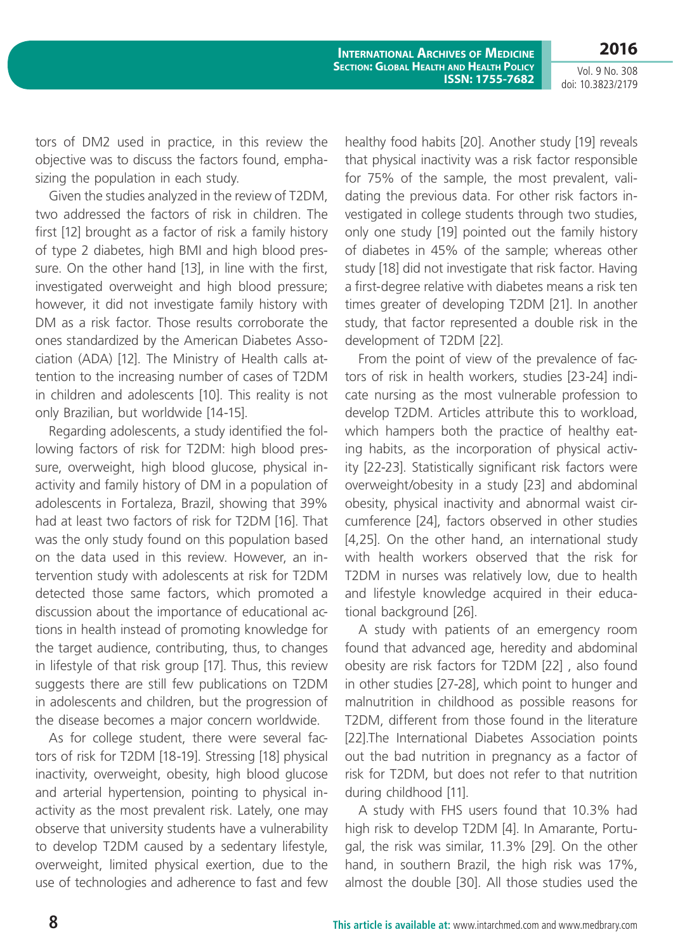Vol. 9 No. 308 doi: 10.3823/2179

**2016**

**International Archives of Medicine Section: Global Health and Health Policy ISSN: 1755-7682**

tors of DM2 used in practice, in this review the objective was to discuss the factors found, emphasizing the population in each study.

Given the studies analyzed in the review of T2DM, two addressed the factors of risk in children. The first [12] brought as a factor of risk a family history of type 2 diabetes, high BMI and high blood pressure. On the other hand [13], in line with the first, investigated overweight and high blood pressure; however, it did not investigate family history with DM as a risk factor. Those results corroborate the ones standardized by the American Diabetes Association (ADA) [12]. The Ministry of Health calls attention to the increasing number of cases of T2DM in children and adolescents [10]. This reality is not only Brazilian, but worldwide [14-15].

Regarding adolescents, a study identified the following factors of risk for T2DM: high blood pressure, overweight, high blood glucose, physical inactivity and family history of DM in a population of adolescents in Fortaleza, Brazil, showing that 39% had at least two factors of risk for T2DM [16]. That was the only study found on this population based on the data used in this review. However, an intervention study with adolescents at risk for T2DM detected those same factors, which promoted a discussion about the importance of educational actions in health instead of promoting knowledge for the target audience, contributing, thus, to changes in lifestyle of that risk group [17]. Thus, this review suggests there are still few publications on T2DM in adolescents and children, but the progression of the disease becomes a major concern worldwide.

As for college student, there were several factors of risk for T2DM [18-19]. Stressing [18] physical inactivity, overweight, obesity, high blood glucose and arterial hypertension, pointing to physical inactivity as the most prevalent risk. Lately, one may observe that university students have a vulnerability to develop T2DM caused by a sedentary lifestyle, overweight, limited physical exertion, due to the use of technologies and adherence to fast and few healthy food habits [20]. Another study [19] reveals that physical inactivity was a risk factor responsible for 75% of the sample, the most prevalent, validating the previous data. For other risk factors investigated in college students through two studies, only one study [19] pointed out the family history of diabetes in 45% of the sample; whereas other study [18] did not investigate that risk factor. Having a first-degree relative with diabetes means a risk ten times greater of developing T2DM [21]. In another study, that factor represented a double risk in the development of T2DM [22].

From the point of view of the prevalence of factors of risk in health workers, studies [23-24] indicate nursing as the most vulnerable profession to develop T2DM. Articles attribute this to workload, which hampers both the practice of healthy eating habits, as the incorporation of physical activity [22-23]. Statistically significant risk factors were overweight/obesity in a study [23] and abdominal obesity, physical inactivity and abnormal waist circumference [24], factors observed in other studies [4,25]. On the other hand, an international study with health workers observed that the risk for T2DM in nurses was relatively low, due to health and lifestyle knowledge acquired in their educational background [26].

A study with patients of an emergency room found that advanced age, heredity and abdominal obesity are risk factors for T2DM [22] , also found in other studies [27-28], which point to hunger and malnutrition in childhood as possible reasons for T2DM, different from those found in the literature [22].The International Diabetes Association points out the bad nutrition in pregnancy as a factor of risk for T2DM, but does not refer to that nutrition during childhood [11].

A study with FHS users found that 10.3% had high risk to develop T2DM [4]. In Amarante, Portugal, the risk was similar, 11.3% [29]. On the other hand, in southern Brazil, the high risk was 17%, almost the double [30]. All those studies used the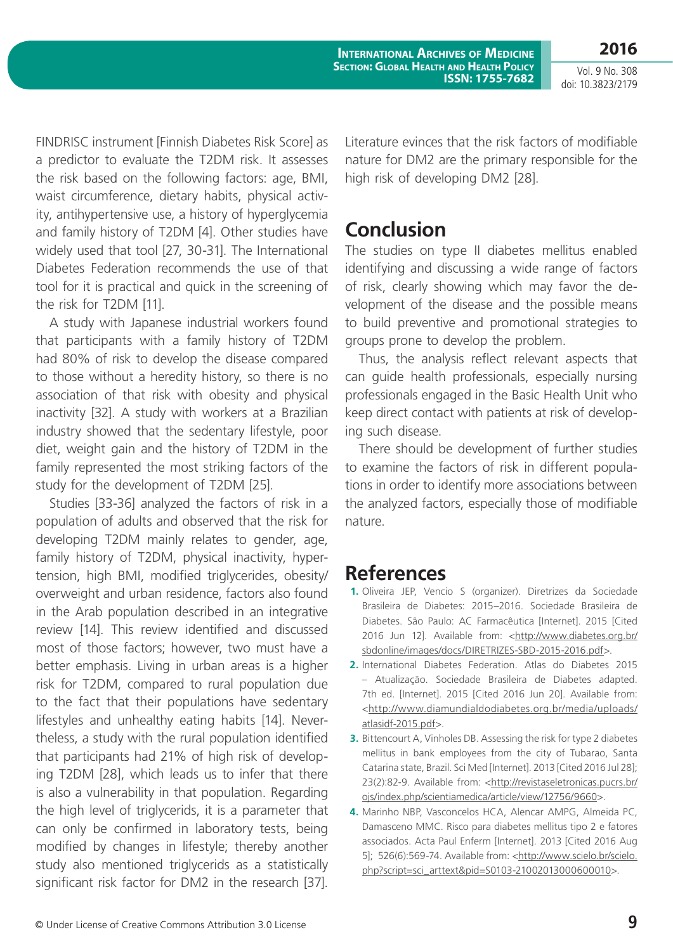**International Archives of Medicine Section: Global Health and Health Policy ISSN: 1755-7682**

Vol. 9 No. 308 doi: 10.3823/2179

**2016**

FINDRISC instrument [Finnish Diabetes Risk Score] as a predictor to evaluate the T2DM risk. It assesses the risk based on the following factors: age, BMI, waist circumference, dietary habits, physical activity, antihypertensive use, a history of hyperglycemia and family history of T2DM [4]. Other studies have widely used that tool [27, 30-31]. The International Diabetes Federation recommends the use of that tool for it is practical and quick in the screening of the risk for T2DM [11].

A study with Japanese industrial workers found that participants with a family history of T2DM had 80% of risk to develop the disease compared to those without a heredity history, so there is no association of that risk with obesity and physical inactivity [32]. A study with workers at a Brazilian industry showed that the sedentary lifestyle, poor diet, weight gain and the history of T2DM in the family represented the most striking factors of the study for the development of T2DM [25].

Studies [33-36] analyzed the factors of risk in a population of adults and observed that the risk for developing T2DM mainly relates to gender, age, family history of T2DM, physical inactivity, hypertension, high BMI, modified triglycerides, obesity/ overweight and urban residence, factors also found in the Arab population described in an integrative review [14]. This review identified and discussed most of those factors; however, two must have a better emphasis. Living in urban areas is a higher risk for T2DM, compared to rural population due to the fact that their populations have sedentary lifestyles and unhealthy eating habits [14]. Nevertheless, a study with the rural population identified that participants had 21% of high risk of developing T2DM [28], which leads us to infer that there is also a vulnerability in that population. Regarding the high level of triglycerids, it is a parameter that can only be confirmed in laboratory tests, being modified by changes in lifestyle; thereby another study also mentioned triglycerids as a statistically significant risk factor for DM2 in the research [37].

Literature evinces that the risk factors of modifiable nature for DM2 are the primary responsible for the high risk of developing DM2 [28].

# **Conclusion**

The studies on type II diabetes mellitus enabled identifying and discussing a wide range of factors of risk, clearly showing which may favor the development of the disease and the possible means to build preventive and promotional strategies to groups prone to develop the problem.

Thus, the analysis reflect relevant aspects that can guide health professionals, especially nursing professionals engaged in the Basic Health Unit who keep direct contact with patients at risk of developing such disease.

There should be development of further studies to examine the factors of risk in different populations in order to identify more associations between the analyzed factors, especially those of modifiable nature.

# **References**

- **1.** Oliveira JEP, Vencio S (organizer). Diretrizes da Sociedade Brasileira de Diabetes: 2015–2016. Sociedade Brasileira de Diabetes. São Paulo: AC Farmacêutica [Internet]. 2015 [Cited 2016 Jun 12]. Available from: <http://www.diabetes.org.br/ sbdonline/images/docs/DIRETRIZES-SBD-2015-2016.pdf>.
- **2.** International Diabetes Federation. Atlas do Diabetes 2015 – Atualização. Sociedade Brasileira de Diabetes adapted. 7th ed. [Internet]. 2015 [Cited 2016 Jun 20]. Available from: <http://www.diamundialdodiabetes.org.br/media/uploads/ atlasidf-2015.pdf>.
- **3.** Bittencourt A, Vinholes DB. Assessing the risk for type 2 diabetes mellitus in bank employees from the city of Tubarao, Santa Catarina state, Brazil. Sci Med [Internet]. 2013 [Cited 2016 Jul 28]; 23(2):82-9. Available from: <http://revistaseletronicas.pucrs.br/ ojs/index.php/scientiamedica/article/view/12756/9660>.
- **4.** Marinho NBP, Vasconcelos HCA, Alencar AMPG, Almeida PC, Damasceno MMC. Risco para diabetes mellitus tipo 2 e fatores associados. Acta Paul Enferm [Internet]. 2013 [Cited 2016 Aug 5]; 526(6):569-74. Available from: <http://www.scielo.br/scielo. php?script=sci\_arttext&pid=S0103-21002013000600010>.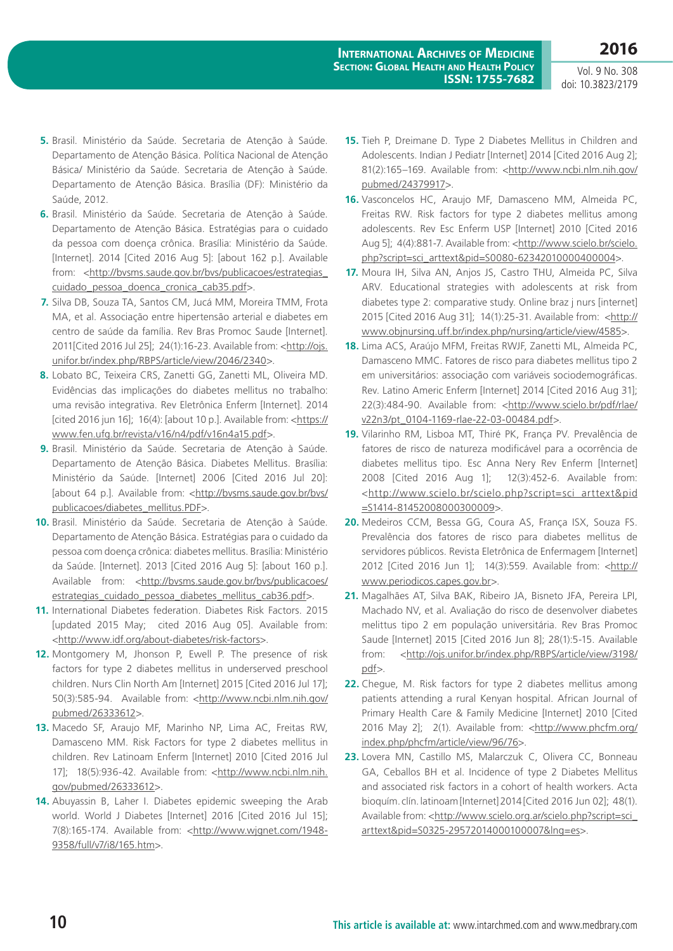Vol. 9 No. 308 doi: 10.3823/2179

- **5.** Brasil. Ministério da Saúde. Secretaria de Atenção à Saúde. Departamento de Atenção Básica. Política Nacional de Atenção Básica/ Ministério da Saúde. Secretaria de Atenção à Saúde. Departamento de Atenção Básica. Brasília (DF): Ministério da Saúde, 2012.
- **6.** Brasil. Ministério da Saúde. Secretaria de Atenção à Saúde. Departamento de Atenção Básica. Estratégias para o cuidado da pessoa com doença crônica. Brasília: Ministério da Saúde. [Internet]. 2014 [Cited 2016 Aug 5]: [about 162 p.]. Available from: <http://bvsms.saude.gov.br/bvs/publicacoes/estrategias\_ cuidado\_pessoa\_doenca\_cronica\_cab35.pdf>.
- **7.** Silva DB, Souza TA, Santos CM, Jucá MM, Moreira TMM, Frota MA, et al. Associação entre hipertensão arterial e diabetes em centro de saúde da família. Rev Bras Promoc Saude [Internet]. 2011[Cited 2016 Jul 25]; 24(1):16-23. Available from: <http://ojs. unifor.br/index.php/RBPS/article/view/2046/2340>.
- **8.** Lobato BC, Teixeira CRS, Zanetti GG, Zanetti ML, Oliveira MD. Evidências das implicações do diabetes mellitus no trabalho: uma revisão integrativa. Rev Eletrônica Enferm [Internet]. 2014 [cited 2016 jun 16]; 16(4): [about 10 p.]. Available from: <https:// www.fen.ufg.br/revista/v16/n4/pdf/v16n4a15.pdf>.
- **9.** Brasil. Ministério da Saúde. Secretaria de Atenção à Saúde. Departamento de Atenção Básica. Diabetes Mellitus. Brasília: Ministério da Saúde. [Internet] 2006 [Cited 2016 Jul 20]: [about 64 p.]. Available from: <http://bvsms.saude.gov.br/bvs/ publicacoes/diabetes\_mellitus.PDF>.
- **10.** Brasil. Ministério da Saúde. Secretaria de Atenção à Saúde. Departamento de Atenção Básica. Estratégias para o cuidado da pessoa com doença crônica: diabetes mellitus. Brasília: Ministério da Saúde. [Internet]. 2013 [Cited 2016 Aug 5]: [about 160 p.]. Available from: <http://bvsms.saude.gov.br/bvs/publicacoes/ estrategias\_cuidado\_pessoa\_diabetes\_mellitus\_cab36.pdf>.
- **11.** International Diabetes federation. Diabetes Risk Factors. 2015 [updated 2015 May; cited 2016 Aug 05]. Available from: <http://www.idf.org/about-diabetes/risk-factors>.
- **12.** Montgomery M, Jhonson P, Ewell P. The presence of risk factors for type 2 diabetes mellitus in underserved preschool children. Nurs Clin North Am [Internet] 2015 [Cited 2016 Jul 17]; 50(3):585-94. Available from: <http://www.ncbi.nlm.nih.gov/ pubmed/26333612>.
- **13.** Macedo SF, Araujo MF, Marinho NP, Lima AC, Freitas RW, Damasceno MM. Risk Factors for type 2 diabetes mellitus in children. Rev Latinoam Enferm [Internet] 2010 [Cited 2016 Jul 17]; 18(5):936-42. Available from: <http://www.ncbi.nlm.nih. gov/pubmed/26333612>.
- **14.** Abuyassin B, Laher I. Diabetes epidemic sweeping the Arab world. World J Diabetes [Internet] 2016 [Cited 2016 Jul 15]; 7(8):165-174. Available from: <http://www.wjgnet.com/1948-9358/full/v7/i8/165.htm>.
- **15.** Tieh P, Dreimane D. Type 2 Diabetes Mellitus in Children and Adolescents. Indian J Pediatr [Internet] 2014 [Cited 2016 Aug 2]; 81(2):165-169. Available from: <http://www.ncbi.nlm.nih.gov/ pubmed/24379917>.
- **16.** Vasconcelos HC, Araujo MF, Damasceno MM, Almeida PC, Freitas RW. Risk factors for type 2 diabetes mellitus among adolescents. Rev Esc Enferm USP [Internet] 2010 [Cited 2016 Aug 5]; 4(4):881-7. Available from: <http://www.scielo.br/scielo. php?script=sci\_arttext&pid=S0080-623420100004000004>.
- **17.** Moura IH, Silva AN, Anjos JS, Castro THU, Almeida PC, Silva ARV. Educational strategies with adolescents at risk from diabetes type 2: comparative study. Online braz j nurs [internet] 2015 [Cited 2016 Aug 31]; 14(1):25-31. Available from: <http:// www.objnursing.uff.br/index.php/nursing/article/view/4585>.
- **18.** Lima ACS, Araújo MFM, Freitas RWJF, Zanetti ML, Almeida PC, Damasceno MMC. Fatores de risco para diabetes mellitus tipo 2 em universitários: associação com variáveis sociodemográficas. Rev. Latino Americ Enferm [Internet] 2014 [Cited 2016 Aug 31]; 22(3):484-90. Available from: <http://www.scielo.br/pdf/rlae/ v22n3/pt\_0104-1169-rlae-22-03-00484.pdf>.
- **19.** Vilarinho RM, Lisboa MT, Thiré PK, França PV. Prevalência de fatores de risco de natureza modificável para a ocorrência de diabetes mellitus tipo. Esc Anna Nery Rev Enferm [Internet] 2008 [Cited 2016 Aug 1]; 12(3):452-6. Available from: <http://www.scielo.br/scielo.php?script=sci\_arttext&pid =S1414-81452008000300009>.
- **20.** Medeiros CCM, Bessa GG, Coura AS, França ISX, Souza FS. Prevalência dos fatores de risco para diabetes mellitus de servidores públicos. Revista Eletrônica de Enfermagem [Internet] 2012 [Cited 2016 Jun 1]; 14(3):559. Available from: <http:// www.periodicos.capes.gov.br>.
- **21.** Magalhães AT, Silva BAK, Ribeiro JA, Bisneto JFA, Pereira LPI, Machado NV, et al. Avaliação do risco de desenvolver diabetes melittus tipo 2 em população universitária. Rev Bras Promoc Saude [Internet] 2015 [Cited 2016 Jun 8]; 28(1):5-15. Available from: <http://ojs.unifor.br/index.php/RBPS/article/view/3198/ pdf>.
- **22.** Chegue, M. Risk factors for type 2 diabetes mellitus among patients attending a rural Kenyan hospital. African Journal of Primary Health Care & Family Medicine [Internet] 2010 [Cited 2016 May 2]; 2(1). Available from: <http://www.phcfm.org/ index.php/phcfm/article/view/96/76>.
- **23.** Lovera MN, Castillo MS, Malarczuk C, Olivera CC, Bonneau GA, Ceballos BH et al. Incidence of type 2 Diabetes Mellitus and associated risk factors in a cohort of health workers. Acta bioquím. clín. latinoam [Internet] 2014 [Cited 2016 Jun 02]; 48(1). Available from: <http://www.scielo.org.ar/scielo.php?script=sci\_ arttext&pid=S0325-29572014000100007&lng=es>.